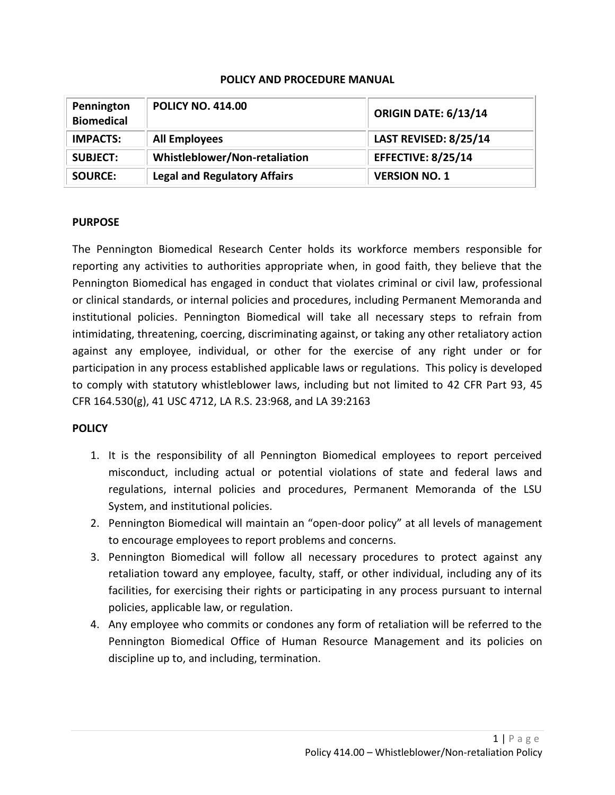### **POLICY AND PROCEDURE MANUAL**

| Pennington<br><b>Biomedical</b> | <b>POLICY NO. 414.00</b>            | ORIGIN DATE: 6/13/14         |
|---------------------------------|-------------------------------------|------------------------------|
| <b>IMPACTS:</b>                 | <b>All Employees</b>                | <b>LAST REVISED: 8/25/14</b> |
| <b>SUBJECT:</b>                 | Whistleblower/Non-retaliation       | <b>EFFECTIVE: 8/25/14</b>    |
| <b>SOURCE:</b>                  | <b>Legal and Regulatory Affairs</b> | <b>VERSION NO. 1</b>         |

### **PURPOSE**

The Pennington Biomedical Research Center holds its workforce members responsible for reporting any activities to authorities appropriate when, in good faith, they believe that the Pennington Biomedical has engaged in conduct that violates criminal or civil law, professional or clinical standards, or internal policies and procedures, including Permanent Memoranda and institutional policies. Pennington Biomedical will take all necessary steps to refrain from intimidating, threatening, coercing, discriminating against, or taking any other retaliatory action against any employee, individual, or other for the exercise of any right under or for participation in any process established applicable laws or regulations. This policy is developed to comply with statutory whistleblower laws, including but not limited to 42 CFR Part 93, 45 CFR 164.530(g), 41 USC 4712, LA R.S. 23:968, and LA 39:2163

### **POLICY**

- 1. It is the responsibility of all Pennington Biomedical employees to report perceived misconduct, including actual or potential violations of state and federal laws and regulations, internal policies and procedures, Permanent Memoranda of the LSU System, and institutional policies.
- 2. Pennington Biomedical will maintain an "open-door policy" at all levels of management to encourage employees to report problems and concerns.
- 3. Pennington Biomedical will follow all necessary procedures to protect against any retaliation toward any employee, faculty, staff, or other individual, including any of its facilities, for exercising their rights or participating in any process pursuant to internal policies, applicable law, or regulation.
- 4. Any employee who commits or condones any form of retaliation will be referred to the Pennington Biomedical Office of Human Resource Management and its policies on discipline up to, and including, termination.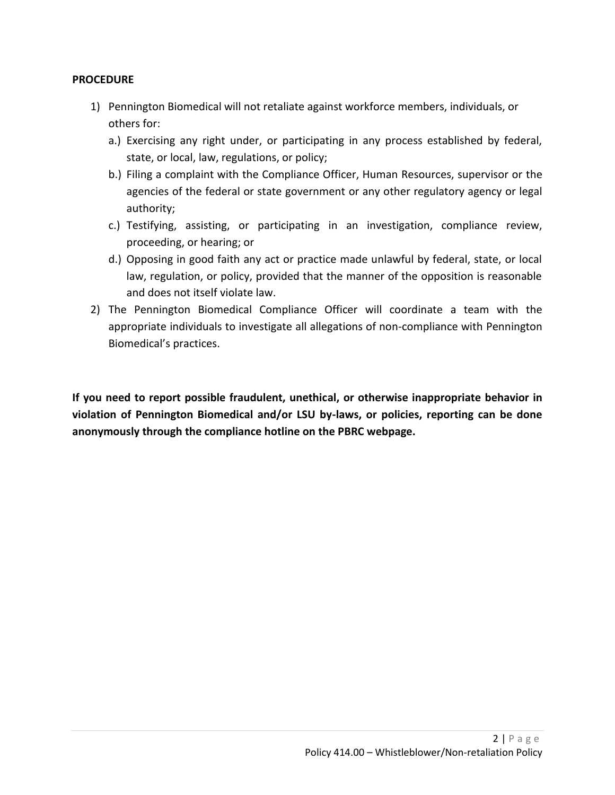## **PROCEDURE**

- 1) Pennington Biomedical will not retaliate against workforce members, individuals, or others for:
	- a.) Exercising any right under, or participating in any process established by federal, state, or local, law, regulations, or policy;
	- b.) Filing a complaint with the Compliance Officer, Human Resources, supervisor or the agencies of the federal or state government or any other regulatory agency or legal authority;
	- c.) Testifying, assisting, or participating in an investigation, compliance review, proceeding, or hearing; or
	- d.) Opposing in good faith any act or practice made unlawful by federal, state, or local law, regulation, or policy, provided that the manner of the opposition is reasonable and does not itself violate law.
- 2) The Pennington Biomedical Compliance Officer will coordinate a team with the appropriate individuals to investigate all allegations of non-compliance with Pennington Biomedical's practices.

**If you need to report possible fraudulent, unethical, or otherwise inappropriate behavior in violation of Pennington Biomedical and/or LSU by-laws, or policies, reporting can be done anonymously through the compliance hotline on the PBRC webpage.**